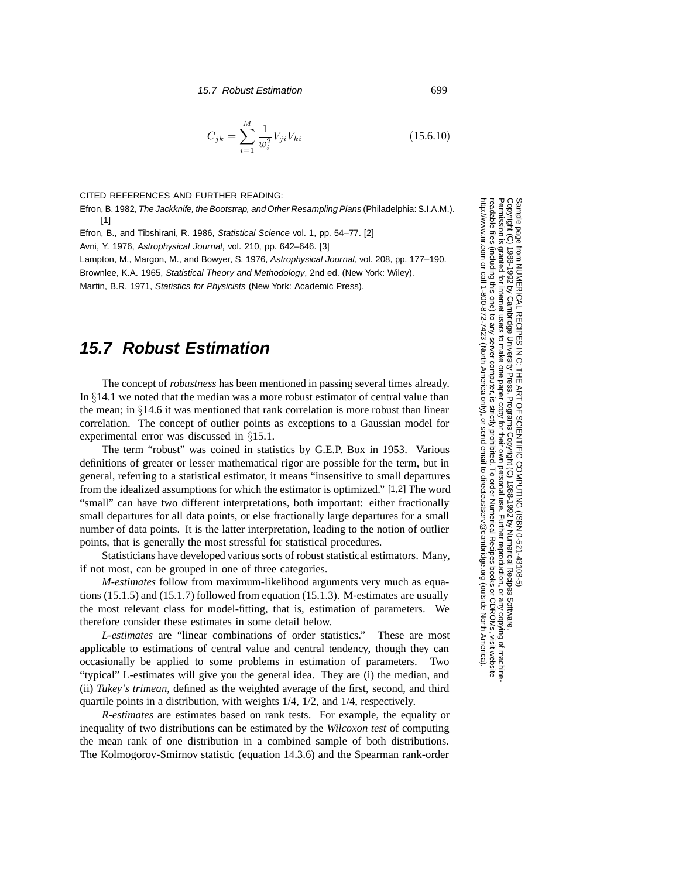$$
C_{jk} = \sum_{i=1}^{M} \frac{1}{w_i^2} V_{ji} V_{ki}
$$
 (15.6.10)

#### CITED REFERENCES AND FURTHER READING:

Efron, B. 1982, The Jackknife, the Bootstrap, and Other Resampling Plans (Philadelphia: S.I.A.M.). [1]

Efron, B., and Tibshirani, R. 1986, Statistical Science vol. 1, pp. 54–77. [2]

Avni, Y. 1976, Astrophysical Journal, vol. 210, pp. 642–646. [3]

Lampton, M., Margon, M., and Bowyer, S. 1976, Astrophysical Journal, vol. 208, pp. 177–190. Brownlee, K.A. 1965, Statistical Theory and Methodology, 2nd ed. (New York: Wiley).

Martin, B.R. 1971, Statistics for Physicists (New York: Academic Press).

# **15.7 Robust Estimation**

The concept of *robustness* has been mentioned in passing several times already. In §14.1 we noted that the median was a more robust estimator of central value than the mean; in  $\S 14.6$  it was mentioned that rank correlation is more robust than linear correlation. The concept of outlier points as exceptions to a Gaussian model for experimental error was discussed in §15.1.

The term "robust" was coined in statistics by G.E.P. Box in 1953. Various definitions of greater or lesser mathematical rigor are possible for the term, but in general, referring to a statistical estimator, it means "insensitive to small departures from the idealized assumptions for which the estimator is optimized." [1,2] The word "small" can have two different interpretations, both important: either fractionally small departures for all data points, or else fractionally large departures for a small number of data points. It is the latter interpretation, leading to the notion of outlier points, that is generally the most stressful for statistical procedures.

Statisticians have developed various sorts of robust statistical estimators. Many, if not most, can be grouped in one of three categories.

*M-estimates* follow from maximum-likelihood arguments very much as equations (15.1.5) and (15.1.7) followed from equation (15.1.3). M-estimates are usually the most relevant class for model-fitting, that is, estimation of parameters. We therefore consider these estimates in some detail below.

*L-estimates* are "linear combinations of order statistics." These are most applicable to estimations of central value and central tendency, though they can occasionally be applied to some problems in estimation of parameters. Two "typical" L-estimates will give you the general idea. They are (i) the median, and (ii) *Tukey's trimean*, defined as the weighted average of the first, second, and third quartile points in a distribution, with weights 1/4, 1/2, and 1/4, respectively.

*R-estimates* are estimates based on rank tests. For example, the equality or inequality of two distributions can be estimated by the *Wilcoxon test* of computing the mean rank of one distribution in a combined sample of both distributions. The Kolmogorov-Smirnov statistic (equation 14.3.6) and the Spearman rank-order

Sample page t<br>Copyright (C)<br>Permission is g Copyright (C) 1988-1992 by Cambridge University Press.Sample page from NUMERICAL RECIPES IN C: THE ART OF SCIENTIFIC COMPUTING (ISBN 0-521-43108-5) http://www.nr.com or call 1-800-872-7423 (North America only),readable files (including this one) to any server computer, is strictly prohibited. readable files (including this one) to any serverPermission is granted for internet users to make one paper copy for their own personal use. Further reproduction, or any copyin nttp://www.nr.com or call 1-800-872-7423 (North America only), or granted for internet users to make one paper copy for their own personal use. Further reproduction, or any copying of machine.<br>(including this one) to any server computer, is strictly prohibited. To order Numerical Recipes from NUMERICAL RECIPES IN C. THE ART OF SCIENTIFIC COMPUTING (ISBN 0-521-43108-5)<br>1988-1992 by Cambridge University Press. Programs Copyright (C) 1988-1992 by Numerical Recipes Software computer, is strictly prohibited. To order Numerical Recipes booksPrograms Copyright (C) 1988-1992 by Numerical Recipes Software. or send email to directcustserv@cambridge.org (outside North America). send email to directcustserv@cambridge.org (outside North America). or CDROMs, visit website g of machine-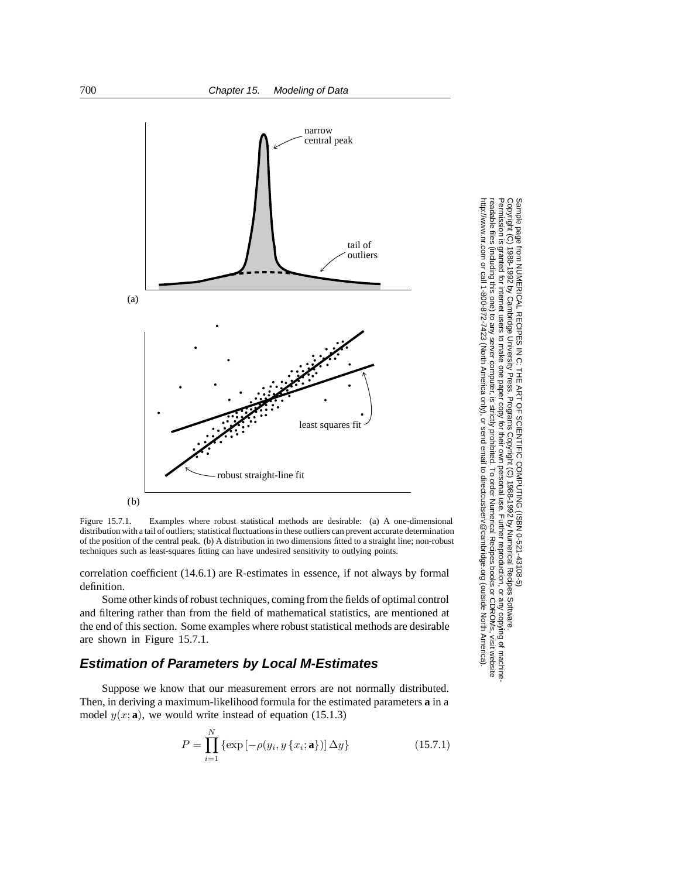

Figure 15.7.1. Examples where robust statistical methods are desirable: (a) A one-dimensional distribution with a tail of outliers; statistical fluctuations in these outliers can prevent accurate determination of the position of the central peak. (b) A distribution in two dimensions fitted to a straight line; non-robust techniques such as least-squares fitting can have undesired sensitivity to outlying points.

correlation coefficient (14.6.1) are R-estimates in essence, if not always by formal definition.

Some other kinds of robust techniques, coming from the fields of optimal control and filtering rather than from the field of mathematical statistics, are mentioned at the end of this section. Some examples where robust statistical methods are desirable are shown in Figure 15.7.1.

## **Estimation of Parameters by Local M-Estimates**

Suppose we know that our measurement errors are not normally distributed. Then, in deriving a maximum-likelihood formula for the estimated parameters **a** in a model  $y(x; \mathbf{a})$ , we would write instead of equation (15.1.3)

$$
P = \prod_{i=1}^{N} \{ \exp[-\rho(y_i, y\{x_i; \mathbf{a}\})] \Delta y \}
$$
(15.7.1)

Copyright (C) 1988-1992 by Cambridge University Press.Sample page from NUMERICAL RECIPES IN C: THE ART OF SCIENTIFIC COMPUTING (ISBN 0-521-43108-5) ntp://www.nr.com or call 1-800-872-7423 (North America only), or send email to directcustserv@cambridge.org (outside North America). http://www.nr.com or call 1-800-872-7423 (North America only),readable files (including this one) to any serverPermission is granted for internet users to make one paper copy for their own personal use. Further reproduction, or any copyin -cpyright anple page  $\widehat{\Omega}$ from NUMERICAL RECIPES IN C: THE ART OF SCIENTIFIC COMPUTING (ISBN 0-521-43108-5)<br>1988-1992 by Cambridge University Press. Programs Copyright (C) 1988-1992 by Numerical Recipes Software. computer, is strictly prohibited. To order Numerical Recipes booksPrograms Copyright (C) 1988-1992 by Numerical Recipes Software. or send email to directcustserv@cambridge.org (outside North America). or CDROMs, visit website g of machine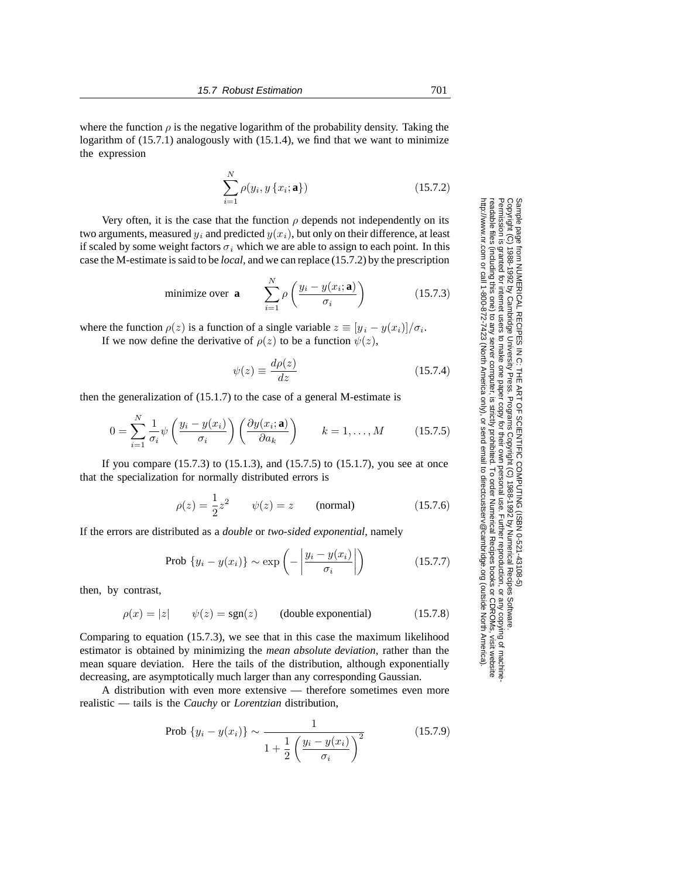where the function  $\rho$  is the negative logarithm of the probability density. Taking the logarithm of (15.7.1) analogously with (15.1.4), we find that we want to minimize the expression

$$
\sum_{i=1}^{N} \rho(y_i, y\{x_i; \mathbf{a}\})
$$
\n(15.7.2)

Very often, it is the case that the function  $\rho$  depends not independently on its two arguments, measured  $y_i$  and predicted  $y(x_i)$ , but only on their difference, at least if scaled by some weight factors  $\sigma_i$  which we are able to assign to each point. In this case the M-estimate is said to be *local*, and we can replace (15.7.2) by the prescription

minimize over **a** 
$$
\sum_{i=1}^{N} \rho \left( \frac{y_i - y(x_i; \mathbf{a})}{\sigma_i} \right)
$$
 (15.7.3)

where the function  $\rho(z)$  is a function of a single variable  $z \equiv [y_i - y(x_i)]/\sigma_i$ . If we now define the derivative of  $\rho(z)$  to be a function  $\psi(z)$ ,

$$
\psi(z) \equiv \frac{d\rho(z)}{dz} \tag{15.7.4}
$$

then the generalization of (15.1.7) to the case of a general M-estimate is

$$
0 = \sum_{i=1}^{N} \frac{1}{\sigma_i} \psi\left(\frac{y_i - y(x_i)}{\sigma_i}\right) \left(\frac{\partial y(x_i; \mathbf{a})}{\partial a_k}\right) \qquad k = 1, \dots, M \tag{15.7.5}
$$

If you compare (15.7.3) to (15.1.3), and (15.7.5) to (15.1.7), you see at once that the specialization for normally distributed errors is

$$
\rho(z) = \frac{1}{2}z^2
$$
  $\psi(z) = z$  (normal) (15.7.6)

If the errors are distributed as a *double* or *two-sided exponential*, namely

$$
\text{Prob } \{ y_i - y(x_i) \} \sim \exp \left( - \left| \frac{y_i - y(x_i)}{\sigma_i} \right| \right) \tag{15.7.7}
$$

then, by contrast,

$$
\rho(x) = |z| \qquad \psi(z) = \text{sgn}(z) \qquad \text{(double exponential)} \tag{15.7.8}
$$

Comparing to equation (15.7.3), we see that in this case the maximum likelihood estimator is obtained by minimizing the *mean absolute deviation*, rather than the mean square deviation. Here the tails of the distribution, although exponentially decreasing, are asymptotically much larger than any corresponding Gaussian.

A distribution with even more extensive — therefore sometimes even more realistic — tails is the *Cauchy* or *Lorentzian* distribution,

Prob 
$$
\{y_i - y(x_i)\} \sim \frac{1}{1 + \frac{1}{2} \left(\frac{y_i - y(x_i)}{\sigma_i}\right)^2}
$$
 (15.7.9)

Permission is granted for internet users to make one paper copy for their own personal use. Further reproduction, or any copyin Copyright (C) 1988-1992 by Cambridge University Press.Sample page from NUMERICAL RECIPES IN C: THE ART OF SCIENTIFIC COMPUTING (ISBN 0-521-43108-5)<br>Copyright (C) 1988-1992 by Cambridge University Press. Programs Copyright (C) 1988-1992 by Numerical Recipes Software Programs Copyright (C) 1988-1992 by Numerical Recipes Software. Sample page from NUMERICAL RECIPES IN C: THE ART OF SCIENTIFIC COMPUTING (ISBN 0-521-43108-5) g of machinereadable files (including this one) to any servercomputer, is strictly prohibited. To order Numerical Recipes booksor CDROMs, visit website http://www.nr.com or call 1-800-872-7423 (North America only),or send email to directcustserv@cambridge.org (outside North America).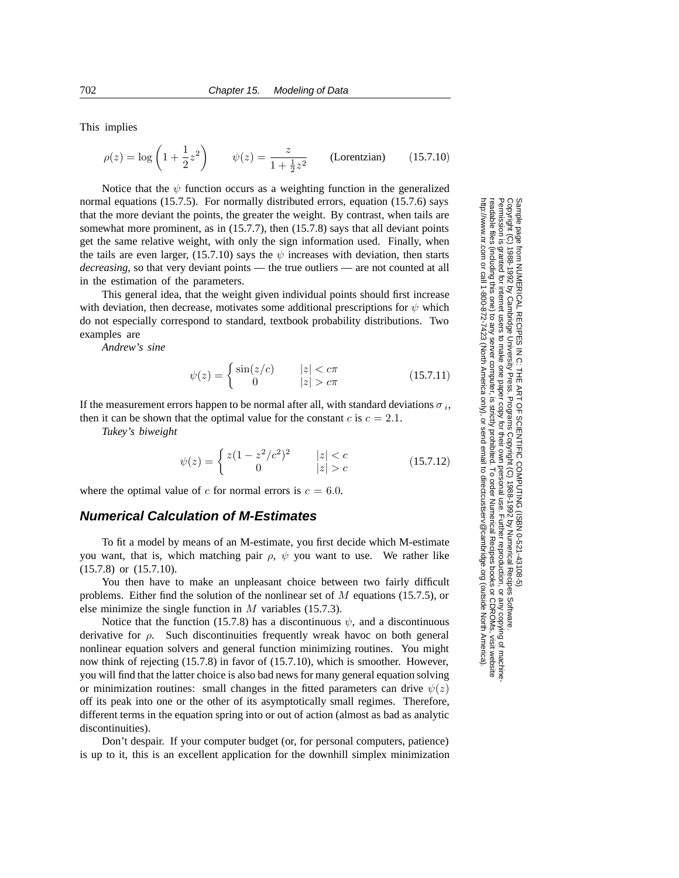This implies

$$
\rho(z) = \log\left(1 + \frac{1}{2}z^2\right)
$$
  $\psi(z) = \frac{z}{1 + \frac{1}{2}z^2}$  (Lorentzian) (15.7.10)

Notice that the  $\psi$  function occurs as a weighting function in the generalized normal equations (15.7.5). For normally distributed errors, equation (15.7.6) says that the more deviant the points, the greater the weight. By contrast, when tails are somewhat more prominent, as in (15.7.7), then (15.7.8) says that all deviant points get the same relative weight, with only the sign information used. Finally, when the tails are even larger, (15.7.10) says the  $\psi$  increases with deviation, then starts *decreasing*, so that very deviant points — the true outliers — are not counted at all in the estimation of the parameters.

This general idea, that the weight given individual points should first increase with deviation, then decrease, motivates some additional prescriptions for  $\psi$  which do not especially correspond to standard, textbook probability distributions. Two examples are

*Andrew's sine*

$$
\psi(z) = \begin{cases} \sin(z/c) & |z| < c\pi \\ 0 & |z| > c\pi \end{cases} \tag{15.7.11}
$$

If the measurement errors happen to be normal after all, with standard deviations  $\sigma_i$ , then it can be shown that the optimal value for the constant c is  $c = 2.1$ .

*Tukey's biweight*

$$
\psi(z) = \begin{cases} z(1 - z^2/c^2)^2 & |z| < c \\ 0 & |z| > c \end{cases}
$$
 (15.7.12)

where the optimal value of c for normal errors is  $c = 6.0$ .

### **Numerical Calculation of M-Estimates**

To fit a model by means of an M-estimate, you first decide which M-estimate you want, that is, which matching pair  $\rho$ ,  $\psi$  you want to use. We rather like (15.7.8) or (15.7.10).

You then have to make an unpleasant choice between two fairly difficult problems. Either find the solution of the nonlinear set of  $M$  equations (15.7.5), or else minimize the single function in  $M$  variables (15.7.3).

Notice that the function (15.7.8) has a discontinuous  $\psi$ , and a discontinuous derivative for  $\rho$ . Such discontinuities frequently wreak havoc on both general nonlinear equation solvers and general function minimizing routines. You might now think of rejecting (15.7.8) in favor of (15.7.10), which is smoother. However, you will find that the latter choice is also bad news for many general equation solving or minimization routines: small changes in the fitted parameters can drive  $\psi(z)$ off its peak into one or the other of its asymptotically small regimes. Therefore, different terms in the equation spring into or out of action (almost as bad as analytic discontinuities).

Don't despair. If your computer budget (or, for personal computers, patience) is up to it, this is an excellent application for the downhill simplex minimization

Sample page t<br>Copyright (C)<br>Permission is ( Copyright (C) 1988-1992 by Cambridge University Press.http://www.nr.com or call 1-800-872-7423 (North America only),readable files (including this one) to any serverPermission is granted for internet users to make one paper copy for their own personal use. Further reproduction, or any copyin from NUMERICAL RECIPES IN C. THE ART OF SCIENTIFIC COMPUTING (ISBN 0-521-43108-5)<br>1988-1992 by Cambridge University Press. Programs Copyright (C) 1989-1992 by Numerical Recipes Software computer, is strictly prohibited. To order Numerical Recipes booksPrograms Copyright (C) 1988-1992 by Numerical Recipes Software. or send email to directcustserv@cambridge.org (outside North America). or CDROMs, visit website g of machine-

Sample page from NUMERICAL RECIPES IN C: THE ART OF SCIENTIFIC COMPUTING (ISBN 0-521-43108-5)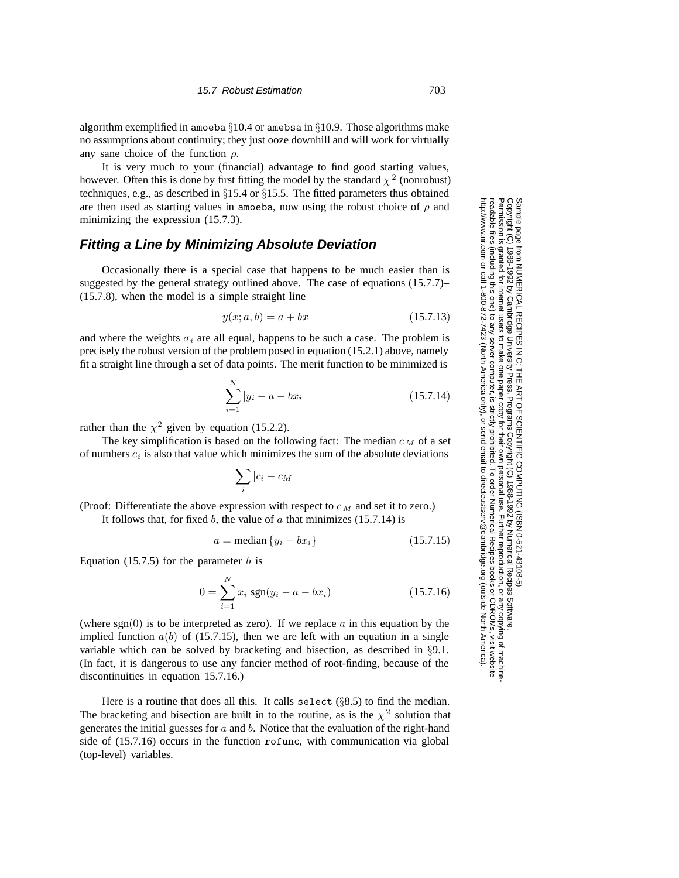algorithm exemplified in amoeba §10.4 or amebsa in §10.9. Those algorithms make no assumptions about continuity; they just ooze downhill and will work for virtually any sane choice of the function  $\rho$ .

It is very much to your (financial) advantage to find good starting values, however. Often this is done by first fitting the model by the standard  $\chi^2$  (nonrobust) techniques, e.g., as described in §15.4 or §15.5. The fitted parameters thus obtained are then used as starting values in amoeba, now using the robust choice of  $\rho$  and minimizing the expression (15.7.3).

## **Fitting a Line by Minimizing Absolute Deviation**

Occasionally there is a special case that happens to be much easier than is suggested by the general strategy outlined above. The case of equations (15.7.7)– (15.7.8), when the model is a simple straight line

$$
y(x; a, b) = a + bx \tag{15.7.13}
$$

and where the weights  $\sigma_i$  are all equal, happens to be such a case. The problem is precisely the robust version of the problem posed in equation (15.2.1) above, namely fit a straight line through a set of data points. The merit function to be minimized is

$$
\sum_{i=1}^{N} |y_i - a - bx_i| \tag{15.7.14}
$$

rather than the  $\chi^2$  given by equation (15.2.2).

The key simplification is based on the following fact: The median  $c<sub>M</sub>$  of a set of numbers c*<sup>i</sup>* is also that value which minimizes the sum of the absolute deviations

$$
\sum_i |c_i - c_M|
$$

(Proof: Differentiate the above expression with respect to  $c_M$  and set it to zero.) It follows that, for fixed b, the value of  $\alpha$  that minimizes (15.7.14) is

$$
a = \text{median}\{y_i - bx_i\} \tag{15.7.15}
$$

Equation (15.7.5) for the parameter  $b$  is

$$
0 = \sum_{i=1}^{N} x_i \text{ sgn}(y_i - a - bx_i)
$$
 (15.7.16)

(where  $sgn(0)$  is to be interpreted as zero). If we replace a in this equation by the implied function  $a(b)$  of (15.7.15), then we are left with an equation in a single variable which can be solved by bracketing and bisection, as described in §9.1. (In fact, it is dangerous to use any fancier method of root-finding, because of the discontinuities in equation 15.7.16.)

Here is a routine that does all this. It calls select  $(\S 8.5)$  to find the median. The bracketing and bisection are built in to the routine, as is the  $\chi^2$  solution that generates the initial guesses for  $a$  and  $b$ . Notice that the evaluation of the right-hand side of (15.7.16) occurs in the function rofunc, with communication via global (top-level) variables.

Sample page t<br>Copyright (C) Copyright (C) 1988-1992 by Cambridge University Press.http://www.nr.com or call 1-800-872-7423 (North America only),readable files (including this one) to any serverPermission is granted for internet users to make one paper copy for their own personal use. Further reproduction, or any copyin 1988-1992 by Cambridge University Press. Programs Copyright (C) 1988-1992 by Numerical Recipes Software computer, is strictly prohibited. To order Numerical Recipes booksPrograms Copyright (C) 1988-1992 by Numerical Recipes Software. or send email to directcustserv@cambridge.org (outside North America). or CDROMs, visit website g of machine-

Sample page from NUMERICAL RECIPES IN C: THE ART OF SCIENTIFIC COMPUTING (ISBN 0-521-43108-5)

irom NUMERICAL RECIPES IN C. THE ART OF SCIENTIFIC COMPUTING (18BN 0-531-43108-6)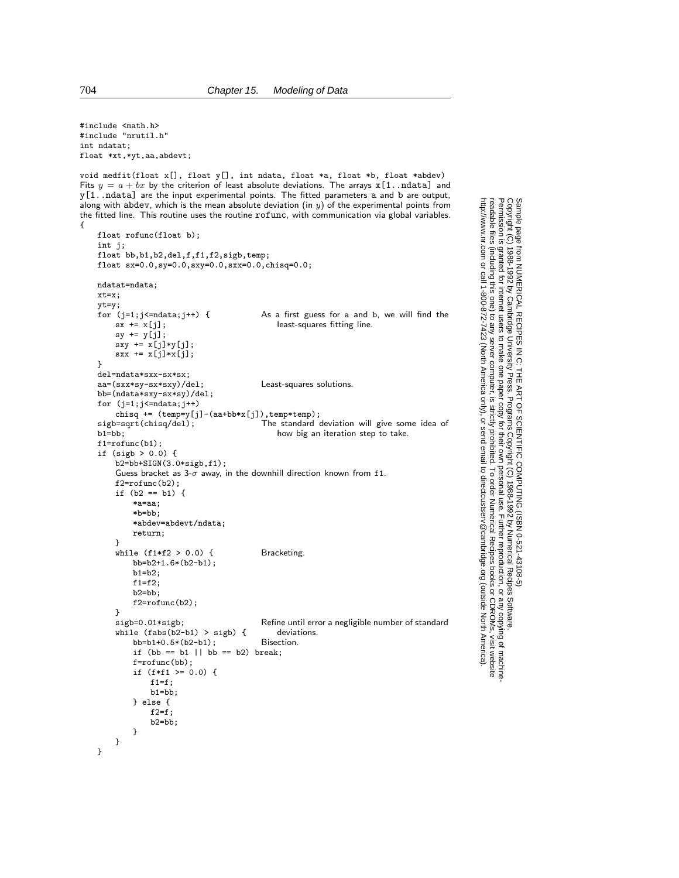#include <math.h> #include "nrutil.h" int ndatat; float \*xt,\*yt,aa,abdevt;

void medfit(float x[], float y[], int ndata, float \*a, float \*b, float \*abdev) Fits  $y = a + bx$  by the criterion of least absolute deviations. The arrays x [1..ndata] and y[1..ndata] are the input experimental points. The fitted parameters a and b are output, along with abdev, which is the mean absolute deviation (in  $y$ ) of the experimental points from the fitted line. This routine uses the routine rofunc, with communication via global variables. {

```
float rofunc(float b);
int j;
float bb,b1,b2,del,f,f1,f2,sigb,temp;
float sx=0.0,sy=0.0,sxy=0.0,sxx=0.0,chisq=0.0;
ndatat=ndata;
xt=x;
yt=y;
for (j=1;j\leq=ndata;j++) {<br>
sx += x[j];<br>
least-squares fitting line.least-squares fitting line.
    sy += y[j];
    sxy \leftarrow x[j]*y[j];sxx := x[j]*x[j];}
del=ndata*sxx-sx*sx;
aa=(sxx*sy-sx*sxy)/del; Least-squares solutions.
bb=(ndata*sxy-sx*sy)/del;
for (j=1; j<=ndata; j++)chisq += (temp=y[j]-(aa+bb*x[j]),temp*temp);<br>sigb=sqrt(chisq/del); The standard of
sigb=sqrt(chisq/del); The standard deviation will give some idea of<br>b1=bb; how big an iteration step to take.
                                            how big an iteration step to take.
f1=rofunc(b1);
if (sigh > 0.0) {
    b2=bb+SIGN(3.0*sigb,f1);
    Guess bracket as 3-\sigma away, in the downhill direction known from f1.
    f2=rofunc(b2);
    if (b2 == b1) {
         *a=aa;
         *b=bb;
         *abdev=abdevt/ndata;
        return;
    }
    while (f1*f2 > 0.0) { Bracketing
        bb=b2+1.6*(b2-b1);
        b1=b2:
        f1=f2;
        b2=bb;
        f2=rofunc(b2);
    }<br>sigb=0.01*sigb;
                                         Refine until error a negligible number of standard<br>deviations.
    while (fabs(b2-b1) > sigb) { deviation<br>bb=b1+0.5*(b2-b1): Bisection
        bb=b1+0.5*(b2-b1);if (bb == b1 || bb == b2) break;
        f=rofunc(bb);
        if (f*f1 >= 0.0) {
             f1=f;b1=bb;
        } else {
             f2=f:
             b2=bb;
        }
    }
}
```
Permission is granted for internet users to make one paper copy for their own personal use. Further reproduction, or any copyin

computer, is strictly prohibited. To order Numerical Recipes books

or send email to directcustserv@cambridge.org (outside North America).

Sample page from NUMERICAL RECIPES IN C: THE ART OF SCIENTIFIC COMPUTING (ISBN 0-521-43108-5)

Programs Copyright (C) 1988-1992 by Numerical Recipes Software.

g of machine-

or CDROMs, visit website

Copyright (C) 1988-1992 by Cambridge University Press.

readable files (including this one) to any server

http://www.nr.com or call 1-800-872-7423 (North America only),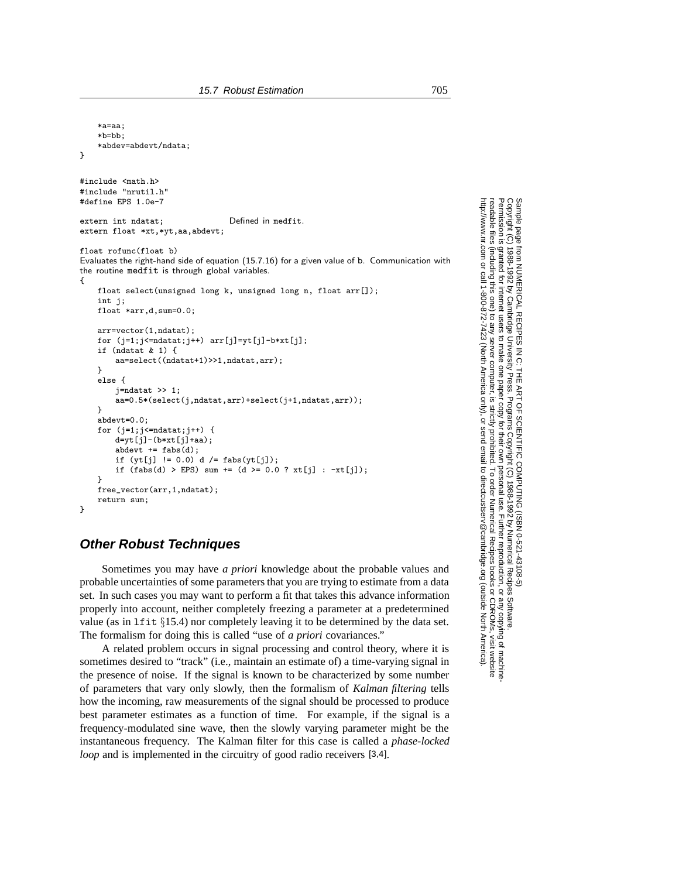```
*a=aa;
    *b=bb;
    *abdev=abdevt/ndata;
}
#include <math.h>
#include "nrutil.h"
#define EPS 1.0e-7
extern int ndatat; Defined in medfit.
extern float *xt,*yt,aa,abdevt;
float rofunc(float b)
Evaluates the right-hand side of equation (15.7.16) for a given value of b. Communication with
the routine medfit is through global variables.
{
   float select(unsigned long k, unsigned long n, float arr[]);
    int j;
   float *arr,d,sum=0.0;
   arr=vector(1,ndatat);
   for (j=1;j<=ndatat;j++) arr[j]=yt[j]-b*xt[j];
   if (ndatat & 1) {
       aa=select((ndatat+1)>>1,ndatat,arr);
    }
   else {
       j=ndatat >> 1;
       aa=0.5*(select(j,ndatat,arr)+select(j+1,ndatat,arr));
   }
    abdevt=0.0;
   for (j=1;j<=ndatat;j++) {
       d=yt[j]-(b*xt[j]+aa);
       abdevt += fabs(d);
       if (vt[i] := 0.0) d /= fabs(v t[i]);
       if (fabs(d) > EPS) sum += (d >= 0.0 ? xt[j] : -xt[j]);}
   free_vector(arr,1,ndatat);
    return sum;
```
## **Other Robust Techniques**

}

Sometimes you may have *a priori* knowledge about the probable values and probable uncertainties of some parameters that you are trying to estimate from a data set. In such cases you may want to perform a fit that takes this advance information properly into account, neither completely freezing a parameter at a predetermined value (as in lfit §15.4) nor completely leaving it to be determined by the data set. The formalism for doing this is called "use of *a priori* covariances."

A related problem occurs in signal processing and control theory, where it is sometimes desired to "track" (i.e., maintain an estimate of) a time-varying signal in the presence of noise. If the signal is known to be characterized by some number of parameters that vary only slowly, then the formalism of *Kalman filtering* tells how the incoming, raw measurements of the signal should be processed to produce best parameter estimates as a function of time. For example, if the signal is a frequency-modulated sine wave, then the slowly varying parameter might be the instantaneous frequency. The Kalman filter for this case is called a *phase-locked loop* and is implemented in the circuitry of good radio receivers [3,4].

Sample page i<br>Copyright (C)<br>Permission is<br>readable files Copyright (C) 1988-1992 by Cambridge University Press.Sample page from NUMERICAL RECIPES IN C: THE ART OF SCIENTIFIC COMPUTING (ISBN 0-521-43108-5) http://www.nr.com or call 1-800-872-7423 (North America only),readable files (including this one) to any serverPermission is granted for internet users to make one paper copy for their own personal use. Further reproduction, or any copyin http://www.nr.com from NUMERICAL RECIPES<br>1988-1992 by Cambridge Uni<br>granted for internet users to n computer, is strictly prohibited. To order Numerical Recipes booksART OF Programs Copyright (C) 1988-1992 by Numerical Recipes Software. SCIENTIFIC COMPUTING or send email to directcustserv@cambridge.org (outside North America). IFIC COMPUTING (ISBN 0-521-43108-5)<br>syright (C) 1988-1992 by Numerical Recipes Software.<br>r own personal use. Further reproduction, or any copying of machine-<br>ibited. To order Numerical Recipes books or CDROMs, visit webs or CDROMs, visit website g of machine